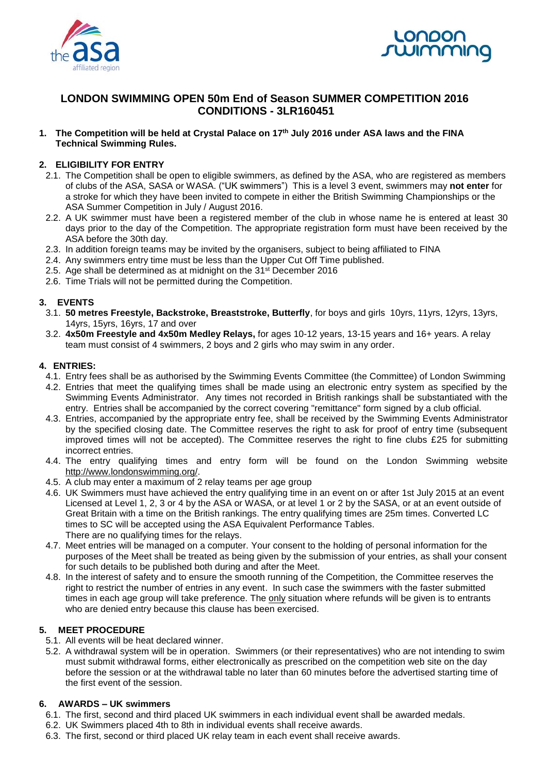



## **LONDON SWIMMING OPEN 50m End of Season SUMMER COMPETITION 2016 CONDITIONS - 3LR160451**

**1. The Competition will be held at Crystal Palace on 17 th July 2016 under ASA laws and the FINA Technical Swimming Rules.** 

#### **2. ELIGIBILITY FOR ENTRY**

- 2.1. The Competition shall be open to eligible swimmers, as defined by the ASA, who are registered as members of clubs of the ASA, SASA or WASA. ("UK swimmers") This is a level 3 event, swimmers may **not enter** for a stroke for which they have been invited to compete in either the British Swimming Championships or the ASA Summer Competition in July / August 2016.
- 2.2. A UK swimmer must have been a registered member of the club in whose name he is entered at least 30 days prior to the day of the Competition. The appropriate registration form must have been received by the ASA before the 30th day.
- 2.3. In addition foreign teams may be invited by the organisers, subject to being affiliated to FINA
- 2.4. Any swimmers entry time must be less than the Upper Cut Off Time published.
- 2.5. Age shall be determined as at midnight on the 31<sup>st</sup> December 2016
- 2.6. Time Trials will not be permitted during the Competition.

#### **3. EVENTS**

- 3.1. **50 metres Freestyle, Backstroke, Breaststroke, Butterfly**, for boys and girls 10yrs, 11yrs, 12yrs, 13yrs, 14yrs, 15yrs, 16yrs, 17 and over
- 3.2. **4x50m Freestyle and 4x50m Medley Relays,** for ages 10-12 years, 13-15 years and 16+ years. A relay team must consist of 4 swimmers, 2 boys and 2 girls who may swim in any order.

#### **4. ENTRIES:**

- 4.1. Entry fees shall be as authorised by the Swimming Events Committee (the Committee) of London Swimming
- 4.2. Entries that meet the qualifying times shall be made using an electronic entry system as specified by the Swimming Events Administrator. Any times not recorded in British rankings shall be substantiated with the entry. Entries shall be accompanied by the correct covering "remittance" form signed by a club official.
- 4.3. Entries, accompanied by the appropriate entry fee, shall be received by the Swimming Events Administrator by the specified closing date. The Committee reserves the right to ask for proof of entry time (subsequent improved times will not be accepted). The Committee reserves the right to fine clubs £25 for submitting incorrect entries.
- 4.4. The entry qualifying times and entry form will be found on the London Swimming website [http://www.londonswimming.org/.](http://www.londonswimming.org/)
- 4.5. A club may enter a maximum of 2 relay teams per age group
- 4.6. UK Swimmers must have achieved the entry qualifying time in an event on or after 1st July 2015 at an event Licensed at Level 1, 2, 3 or 4 by the ASA or WASA, or at level 1 or 2 by the SASA, or at an event outside of Great Britain with a time on the British rankings. The entry qualifying times are 25m times. Converted LC times to SC will be accepted using the ASA Equivalent Performance Tables. There are no qualifying times for the relays.
- 4.7. Meet entries will be managed on a computer. Your consent to the holding of personal information for the purposes of the Meet shall be treated as being given by the submission of your entries, as shall your consent for such details to be published both during and after the Meet.
- 4.8. In the interest of safety and to ensure the smooth running of the Competition, the Committee reserves the right to restrict the number of entries in any event. In such case the swimmers with the faster submitted times in each age group will take preference. The only situation where refunds will be given is to entrants who are denied entry because this clause has been exercised.

#### **5. MEET PROCEDURE**

- 5.1. All events will be heat declared winner.
- 5.2. A withdrawal system will be in operation. Swimmers (or their representatives) who are not intending to swim must submit withdrawal forms, either electronically as prescribed on the competition web site on the day before the session or at the withdrawal table no later than 60 minutes before the advertised starting time of the first event of the session.

#### **6. AWARDS – UK swimmers**

- 6.1. The first, second and third placed UK swimmers in each individual event shall be awarded medals.
- 6.2. UK Swimmers placed 4th to 8th in individual events shall receive awards.
- 6.3. The first, second or third placed UK relay team in each event shall receive awards.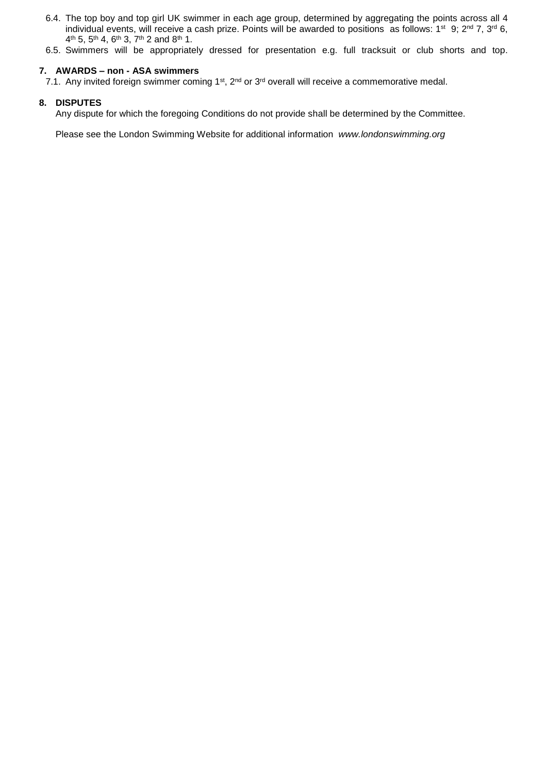- 6.4. The top boy and top girl UK swimmer in each age group, determined by aggregating the points across all 4 individual events, will receive a cash prize. Points will be awarded to positions as follows:  $1^{st}$  9;  $2^{nd}$  7,  $3^{rd}$  6, 4<sup>th</sup> 5, 5<sup>th</sup> 4, 6<sup>th</sup> 3, 7<sup>th</sup> 2 and 8<sup>th</sup> 1.
- 6.5. Swimmers will be appropriately dressed for presentation e.g. full tracksuit or club shorts and top.

#### **7. AWARDS – non - ASA swimmers**

7.1. Any invited foreign swimmer coming 1<sup>st</sup>, 2<sup>nd</sup> or 3<sup>rd</sup> overall will receive a commemorative medal.

#### **8. DISPUTES**

Any dispute for which the foregoing Conditions do not provide shall be determined by the Committee.

Please see the London Swimming Website for additional information *www.londonswimming.org*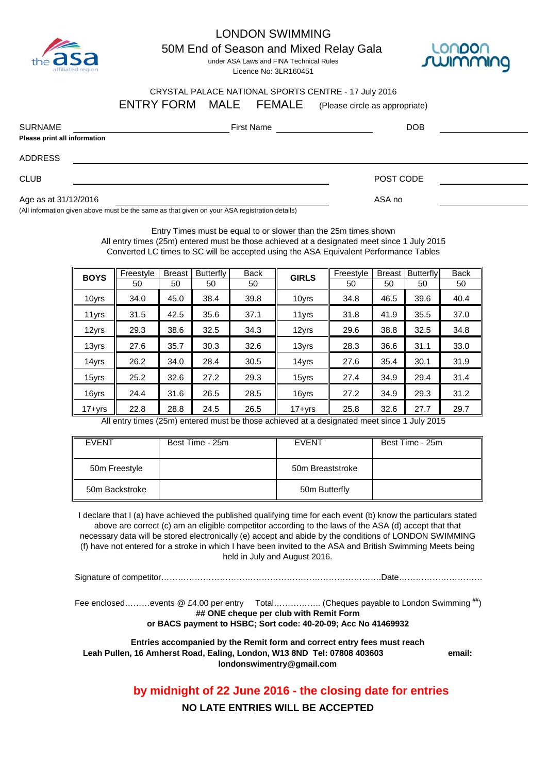

## LONDON SWIMMING

50M End of Season and Mixed Relay Gala

under ASA Laws and FINA Technical Rules Licence No: 3LR160451



#### CRYSTAL PALACE NATIONAL SPORTS CENTRE - 17 July 2016 ENTRY FORM MALE FEMALE (Please circle as appropriate)

| <b>SURNAME</b><br>Please print all information | <b>First Name</b> | <b>DOB</b> |  |
|------------------------------------------------|-------------------|------------|--|
| <b>ADDRESS</b>                                 |                   |            |  |
| <b>CLUB</b>                                    |                   | POST CODE  |  |
| Age as at 31/12/2016                           |                   | ASA no     |  |

(All information given above must be the same as that given on your ASA registration details)

Entry Times must be equal to or slower than the 25m times shown All entry times (25m) entered must be those achieved at a designated meet since 1 July 2015 Converted LC times to SC will be accepted using the ASA Equivalent Performance Tables

| <b>BOYS</b> | Freestyle | <b>Breast</b> | <b>Butterfly</b> | <b>Back</b> | <b>GIRLS</b> | Freestyle | <b>Breast</b> | <b>Butterfly</b> | <b>Back</b> |
|-------------|-----------|---------------|------------------|-------------|--------------|-----------|---------------|------------------|-------------|
|             | 50        | 50            | 50               | 50          |              | 50        | 50            | 50               | 50          |
| 10yrs       | 34.0      | 45.0          | 38.4             | 39.8        | 10yrs        | 34.8      | 46.5          | 39.6             | 40.4        |
| 11yrs       | 31.5      | 42.5          | 35.6             | 37.1        | 11yrs        | 31.8      | 41.9          | 35.5             | 37.0        |
| 12yrs       | 29.3      | 38.6          | 32.5             | 34.3        | 12yrs        | 29.6      | 38.8          | 32.5             | 34.8        |
| 13yrs       | 27.6      | 35.7          | 30.3             | 32.6        | 13yrs        | 28.3      | 36.6          | 31.1             | 33.0        |
| 14yrs       | 26.2      | 34.0          | 28.4             | 30.5        | 14yrs        | 27.6      | 35.4          | 30.1             | 31.9        |
| 15yrs       | 25.2      | 32.6          | 27.2             | 29.3        | 15yrs        | 27.4      | 34.9          | 29.4             | 31.4        |
| 16yrs       | 24.4      | 31.6          | 26.5             | 28.5        | 16yrs        | 27.2      | 34.9          | 29.3             | 31.2        |
| $17 + yrs$  | 22.8      | 28.8          | 24.5             | 26.5        | $17 + yrs$   | 25.8      | 32.6          | 27.7             | 29.7        |

All entry times (25m) entered must be those achieved at a designated meet since 1 July 2015

| <b>FVENT</b>   | Best Time - 25m | <b>FVENT</b>     | Best Time - 25m |
|----------------|-----------------|------------------|-----------------|
| 50m Freestyle  |                 | 50m Breaststroke |                 |
| 50m Backstroke |                 | 50m Butterfly    |                 |

I declare that I (a) have achieved the published qualifying time for each event (b) know the particulars stated above are correct (c) am an eligible competitor according to the laws of the ASA (d) accept that that necessary data will be stored electronically (e) accept and abide by the conditions of LONDON SWIMMING (f) have not entered for a stroke in which I have been invited to the ASA and British Swimming Meets being held in July and August 2016.

Signature of competitor…………………………………………………………………….Date…………………………

Fee enclosed………events @ £4.00 per entry Total…………….. (Cheques payable to London Swimming ##) **or BACS payment to HSBC; Sort code: 40-20-09; Acc No 41469932 ## ONE cheque per club with Remit Form**

**Entries accompanied by the Remit form and correct entry fees must reach Leah Pullen, 16 Amherst Road, Ealing, London, W13 8ND Tel: 07808 403603 email: londonswimentry@gmail.com**

**by midnight of 22 June 2016 - the closing date for entries**

**NO LATE ENTRIES WILL BE ACCEPTED**